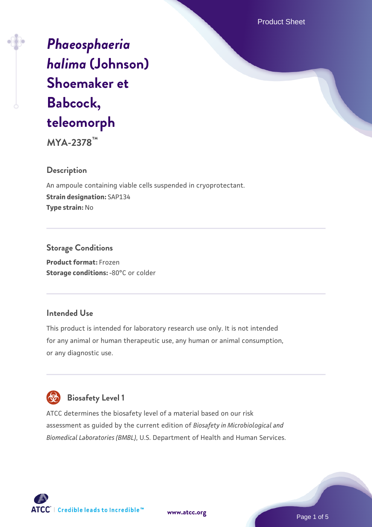Product Sheet

# *[Phaeosphaeria](https://www.atcc.org/products/mya-2378) [halima](https://www.atcc.org/products/mya-2378)* **[\(Johnson\)](https://www.atcc.org/products/mya-2378) [Shoemaker et](https://www.atcc.org/products/mya-2378) [Babcock,](https://www.atcc.org/products/mya-2378) [teleomorph](https://www.atcc.org/products/mya-2378)**

**MYA-2378™**

## **Description**

An ampoule containing viable cells suspended in cryoprotectant. **Strain designation:** SAP134 **Type strain:** No

**Storage Conditions Product format:** Frozen **Storage conditions: -80°C or colder** 

## **Intended Use**

This product is intended for laboratory research use only. It is not intended for any animal or human therapeutic use, any human or animal consumption, or any diagnostic use.



## **Biosafety Level 1**

ATCC determines the biosafety level of a material based on our risk assessment as guided by the current edition of *Biosafety in Microbiological and Biomedical Laboratories (BMBL)*, U.S. Department of Health and Human Services.

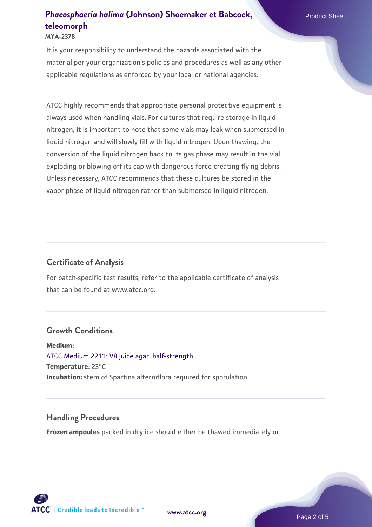#### **MYA-2378**

It is your responsibility to understand the hazards associated with the material per your organization's policies and procedures as well as any other applicable regulations as enforced by your local or national agencies.

ATCC highly recommends that appropriate personal protective equipment is always used when handling vials. For cultures that require storage in liquid nitrogen, it is important to note that some vials may leak when submersed in liquid nitrogen and will slowly fill with liquid nitrogen. Upon thawing, the conversion of the liquid nitrogen back to its gas phase may result in the vial exploding or blowing off its cap with dangerous force creating flying debris. Unless necessary, ATCC recommends that these cultures be stored in the vapor phase of liquid nitrogen rather than submersed in liquid nitrogen.

#### **Certificate of Analysis**

For batch-specific test results, refer to the applicable certificate of analysis that can be found at www.atcc.org.

#### **Growth Conditions**

**Medium:**  [ATCC Medium 2211: V8 juice agar, half-strength](https://www.atcc.org/-/media/product-assets/documents/microbial-media-formulations/2/2/1/1/atcc-medium-2211.pdf?rev=556c7dd2b94b4c8994eb3adffa660619) **Temperature:** 23°C **Incubation:** stem of Spartina alterniflora required for sporulation

#### **Handling Procedures**

**Frozen ampoules** packed in dry ice should either be thawed immediately or

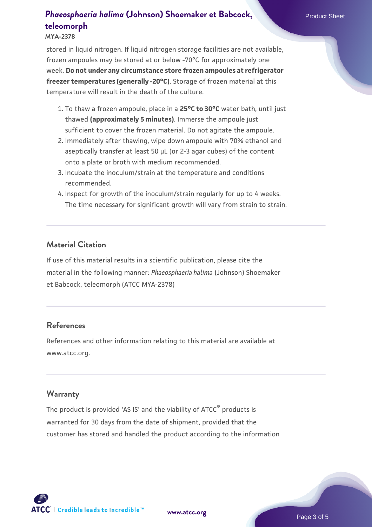#### **MYA-2378**

stored in liquid nitrogen. If liquid nitrogen storage facilities are not available, frozen ampoules may be stored at or below -70°C for approximately one week. **Do not under any circumstance store frozen ampoules at refrigerator freezer temperatures (generally -20°C)**. Storage of frozen material at this temperature will result in the death of the culture.

- 1. To thaw a frozen ampoule, place in a **25°C to 30°C** water bath, until just thawed **(approximately 5 minutes)**. Immerse the ampoule just sufficient to cover the frozen material. Do not agitate the ampoule.
- 2. Immediately after thawing, wipe down ampoule with 70% ethanol and aseptically transfer at least 50 µL (or 2-3 agar cubes) of the content onto a plate or broth with medium recommended.
- 3. Incubate the inoculum/strain at the temperature and conditions recommended.
- 4. Inspect for growth of the inoculum/strain regularly for up to 4 weeks. The time necessary for significant growth will vary from strain to strain.

## **Material Citation**

If use of this material results in a scientific publication, please cite the material in the following manner: *Phaeosphaeria halima* (Johnson) Shoemaker et Babcock, teleomorph (ATCC MYA-2378)

## **References**

References and other information relating to this material are available at www.atcc.org.

#### **Warranty**

The product is provided 'AS IS' and the viability of ATCC® products is warranted for 30 days from the date of shipment, provided that the customer has stored and handled the product according to the information

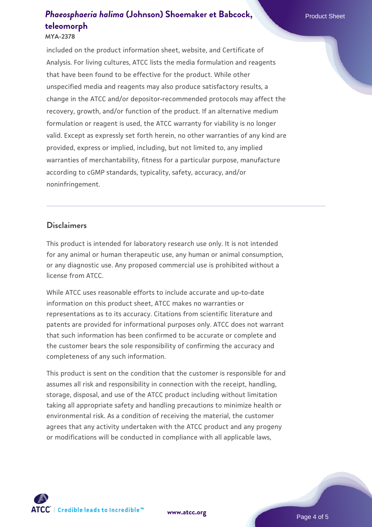#### **MYA-2378**

included on the product information sheet, website, and Certificate of Analysis. For living cultures, ATCC lists the media formulation and reagents that have been found to be effective for the product. While other unspecified media and reagents may also produce satisfactory results, a change in the ATCC and/or depositor-recommended protocols may affect the recovery, growth, and/or function of the product. If an alternative medium formulation or reagent is used, the ATCC warranty for viability is no longer valid. Except as expressly set forth herein, no other warranties of any kind are provided, express or implied, including, but not limited to, any implied warranties of merchantability, fitness for a particular purpose, manufacture according to cGMP standards, typicality, safety, accuracy, and/or noninfringement.

#### **Disclaimers**

This product is intended for laboratory research use only. It is not intended for any animal or human therapeutic use, any human or animal consumption, or any diagnostic use. Any proposed commercial use is prohibited without a license from ATCC.

While ATCC uses reasonable efforts to include accurate and up-to-date information on this product sheet, ATCC makes no warranties or representations as to its accuracy. Citations from scientific literature and patents are provided for informational purposes only. ATCC does not warrant that such information has been confirmed to be accurate or complete and the customer bears the sole responsibility of confirming the accuracy and completeness of any such information.

This product is sent on the condition that the customer is responsible for and assumes all risk and responsibility in connection with the receipt, handling, storage, disposal, and use of the ATCC product including without limitation taking all appropriate safety and handling precautions to minimize health or environmental risk. As a condition of receiving the material, the customer agrees that any activity undertaken with the ATCC product and any progeny or modifications will be conducted in compliance with all applicable laws,